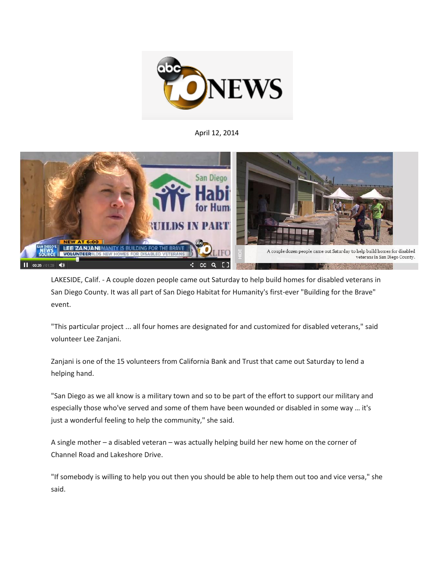

April 12, 2014



LAKESIDE, Calif. - A couple dozen people came out Saturday to help build homes for disabled veterans in San Diego County. It was all part of San Diego Habitat for Humanity's first-ever "Building for the Brave" event.

"This particular project ... all four homes are designated for and customized for disabled veterans," said volunteer Lee Zanjani.

Zanjani is one of the 15 volunteers from California Bank and Trust that came out Saturday to lend a helping hand.

"San Diego as we all know is a military town and so to be part of the effort to support our military and especially those who've served and some of them have been wounded or disabled in some way … it's just a wonderful feeling to help the community," she said.

A single mother – a disabled veteran – was actually helping build her new home on the corner of Channel Road and Lakeshore Drive.

"If somebody is willing to help you out then you should be able to help them out too and vice versa," she said.